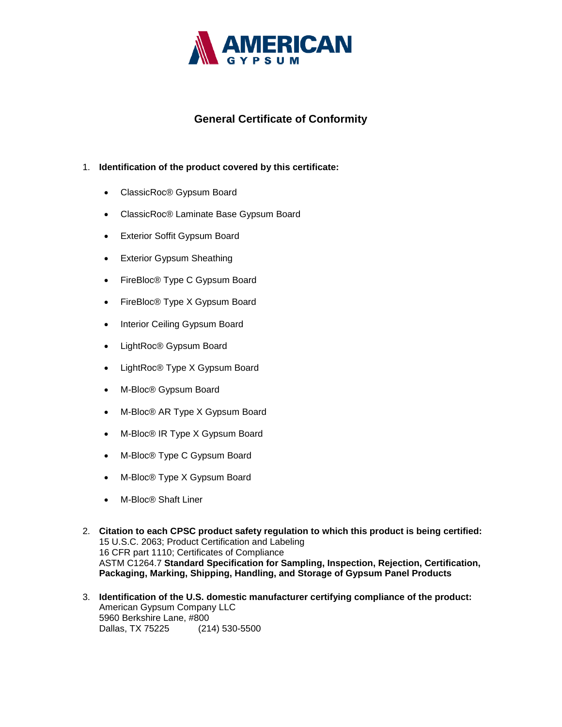

## **General Certificate of Conformity**

## 1. **Identification of the product covered by this certificate:**

- ClassicRoc® Gypsum Board
- ClassicRoc® Laminate Base Gypsum Board
- Exterior Soffit Gypsum Board
- Exterior Gypsum Sheathing
- FireBloc<sup>®</sup> Type C Gypsum Board
- FireBloc<sup>®</sup> Type X Gypsum Board
- Interior Ceiling Gypsum Board
- LightRoc® Gypsum Board
- LightRoc® Type X Gypsum Board
- M-Bloc® Gypsum Board
- M-Bloc® AR Type X Gypsum Board
- M-Bloc® IR Type X Gypsum Board
- M-Bloc® Type C Gypsum Board
- M-Bloc® Type X Gypsum Board
- M-Bloc® Shaft Liner
- 2. **Citation to each CPSC product safety regulation to which this product is being certified:** 15 U.S.C. 2063; Product Certification and Labeling 16 CFR part 1110; Certificates of Compliance ASTM C1264.7 **Standard Specification for Sampling, Inspection, Rejection, Certification, Packaging, Marking, Shipping, Handling, and Storage of Gypsum Panel Products**
- 3. **Identification of the U.S. domestic manufacturer certifying compliance of the product:** American Gypsum Company LLC 5960 Berkshire Lane, #800 Dallas, TX 75225 (214) 530-5500